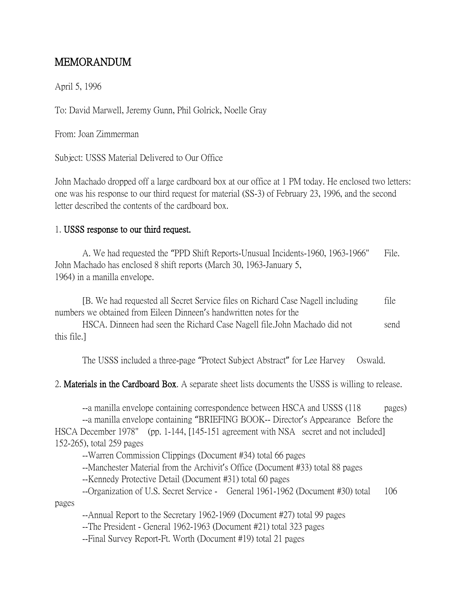## MEMORANDUM

April 5, 1996

To: David Marwell, Jeremy Gunn, Phil Golrick, Noelle Gray

From: Joan Zimmerman

Subject: USSS Material Delivered to Our Office

John Machado dropped off a large cardboard box at our office at 1 PM today. He enclosed two letters: one was his response to our third request for material (SS-3) of February 23, 1996, and the second letter described the contents of the cardboard box.

## 1. USSS response to our third request.

A. We had requested the "PPD Shift Reports-Unusual Incidents-1960, 1963-1966" File. John Machado has enclosed 8 shift reports (March 30, 1963-January 5, 1964) in a manilla envelope.

[B. We had requested all Secret Service files on Richard Case Nagell including file numbers we obtained from Eileen Dinneen's handwritten notes for the

HSCA. Dinneen had seen the Richard Case Nagell file. John Machado did not send this file.]

The USSS included a three-page "Protect Subject Abstract" for Lee Harvey Oswald.

2. Materials in the Cardboard Box. A separate sheet lists documents the USSS is willing to release.

--a manilla envelope containing correspondence between HSCA and USSS (118 pages)

--a manilla envelope containing "BRIEFING BOOK-- Director's Appearance Before the HSCA December 1978" (pp. 1-144, [145-151 agreement with NSA secret and not included] 152-265), total 259 pages

--Warren Commission Clippings (Document #34) total 66 pages

--Manchester Material from the Archivit's Office (Document #33) total 88 pages

--Kennedy Protective Detail (Document #31) total 60 pages

--Organization of U.S. Secret Service - General 1961-1962 (Document #30) total 106

pages

--Annual Report to the Secretary 1962-1969 (Document #27) total 99 pages

--The President - General 1962-1963 (Document #21) total 323 pages

--Final Survey Report-Ft. Worth (Document #19) total 21 pages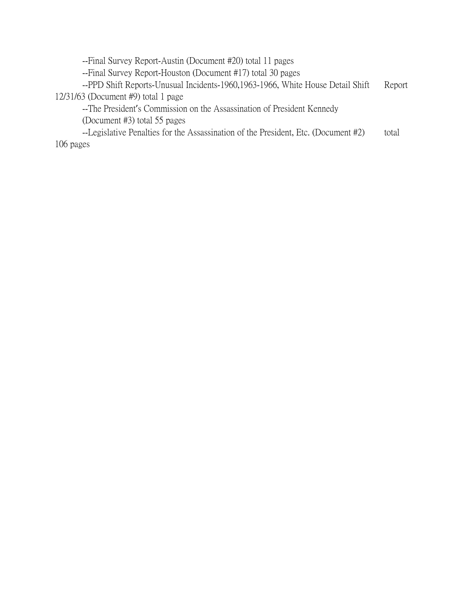--Final Survey Report-Austin (Document #20) total 11 pages

--Final Survey Report-Houston (Document #17) total 30 pages

--PPD Shift Reports-Unusual Incidents-1960,1963-1966, White House Detail Shift Report 12/31/63 (Document #9) total 1 page

--The President's Commission on the Assassination of President Kennedy

(Document #3) total 55 pages

--Legislative Penalties for the Assassination of the President, Etc. (Document #2) total 106 pages